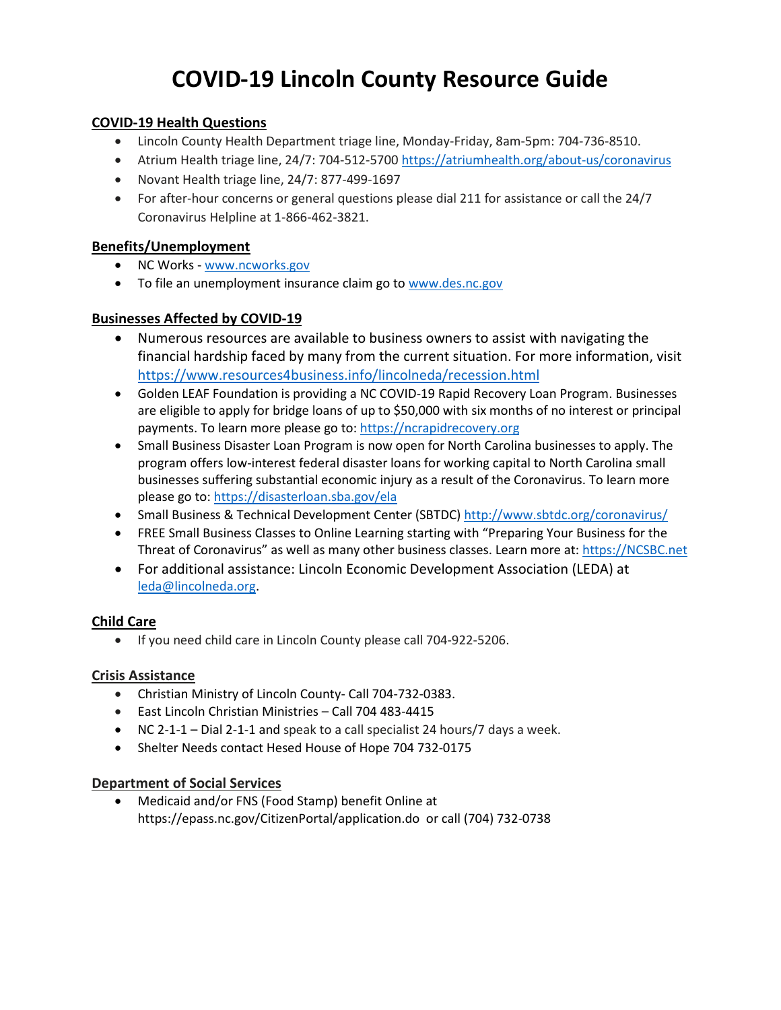# **COVID-19 Lincoln County Resource Guide**

# **COVID-19 Health Questions**

- Lincoln County Health Department triage line, Monday-Friday, 8am-5pm: 704-736-8510.
- Atrium Health triage line, 24/7: 704-512-5700<https://atriumhealth.org/about-us/coronavirus>
- Novant Health triage line, 24/7: 877-499-1697
- For after-hour concerns or general questions please dial 211 for assistance or call the 24/7 Coronavirus Helpline at 1-866-462-3821.

# **Benefits/Unemployment**

- NC Works [www.ncworks.gov](http://www.ncworks.gov/)
- To file an unemployment insurance claim go to [www.des.nc.gov](http://www.des.nc.gov/)

# **Businesses Affected by COVID-19**

- Numerous resources are available to business owners to assist with navigating the financial hardship faced by many from the current situation. For more information, visit <https://www.resources4business.info/lincolneda/recession.html>
- Golden LEAF Foundation is providing a NC COVID-19 Rapid Recovery Loan Program. Businesses are eligible to apply for bridge loans of up to \$50,000 with six months of no interest or principal payments. To learn more please go to[: https://ncrapidrecovery.org](https://ncrapidrecovery.org/)
- Small Business Disaster Loan Program is now open for North Carolina businesses to apply. The program offers low-interest federal disaster loans for working capital to North Carolina small businesses suffering substantial economic injury as a result of the Coronavirus. To learn more please go to[: https://disasterloan.sba.gov/ela](https://disasterloan.sba.gov/ela)
- Small Business & Technical Development Center (SBTDC)<http://www.sbtdc.org/coronavirus/>
- FREE Small Business Classes to Online Learning starting with "Preparing Your Business for the Threat of Coronavirus" as well as many other business classes. Learn more at: [https://NCSBC.net](https://ncsbc.net/)
- For additional assistance: Lincoln Economic Development Association (LEDA) at [leda@lincolneda.org.](mailto:leda@lincolneda.org)

# **Child Care**

• If you need child care in Lincoln County please call 704-922-5206.

# **Crisis Assistance**

- Christian Ministry of Lincoln County- Call 704-732-0383.
- East Lincoln Christian Ministries Call 704 483-4415
- NC 2-1-1 Dial 2-1-1 and speak to a call specialist 24 hours/7 days a week.
- Shelter Needs contact Hesed House of Hope 704 732-0175

# **Department of Social Services**

• Medicaid and/or FNS (Food Stamp) benefit Online at https://epass.nc.gov/CitizenPortal/application.do or call (704) 732-0738